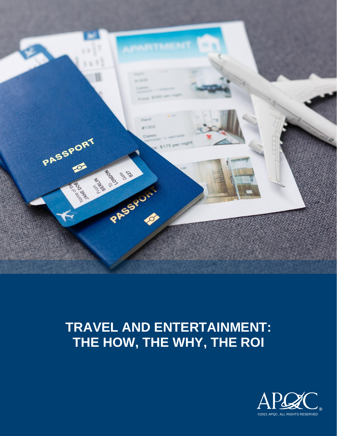

# **TRAVEL AND ENTERTAINMENT: THE HOW, THE WHY, THE ROI**

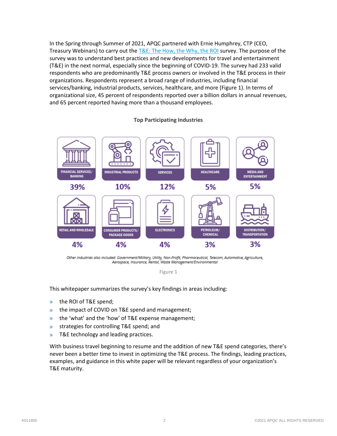In the Spring through Summer of 2021, APQC partnered with Ernie Humphrey, CTP (CEO, Treasury Webinars) to carry out the [T&E: The How, the Why, the ROI](https://www.apqc.org/resource-library/resource-listing/te-how-why-roi-survey-report) survey. The purpose of the survey was to understand best practices and new developments for travel and entertainment (T&E) in the next normal, especially since the beginning of COVID-19. The survey had 233 valid respondents who are predominantly T&E process owners or involved in the T&E process in their organizations. Respondents represent a broad range of industries, including financial services/banking, industrial products, services, healthcare, and more (Figure 1). In terms of organizational size, 45 percent of respondents reported over a billion dollars in annual revenues, and 65 percent reported having more than a thousand employees.

#### **Top Participating Industries**



Other industries also included: Government/Military, Utility, Non-Profit, Pharmaceutical, Telecom, Automotive, Agriculture, Aerospace, Insurance, Rental, Waste Management/Environmental

Figure 1

This whitepaper summarizes the survey's key findings in areas including:

- » the ROI of T&E spend;
- » the impact of COVID on T&E spend and management;
- » the 'what' and the 'how' of T&E expense management;
- » strategies for controlling T&E spend; and
- » T&E technology and leading practices.

With business travel beginning to resume and the addition of new T&E spend categories, there's never been a better time to invest in optimizing the T&E process. The findings, leading practices, examples, and guidance in this white paper will be relevant regardless of your organization's T&E maturity.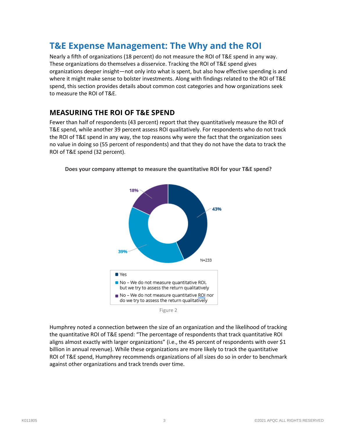## **T&E Expense Management: The Why and the ROI**

Nearly a fifth of organizations (18 percent) do not measure the ROI of T&E spend in any way. These organizations do themselves a disservice. Tracking the ROI of T&E spend gives organizations deeper insight—not only into what is spent, but also how effective spending is and where it might make sense to bolster investments. Along with findings related to the ROI of T&E spend, this section provides details about common cost categories and how organizations seek to measure the ROI of T&E.

#### **MEASURING THE ROI OF T&E SPEND**

Fewer than half of respondents (43 percent) report that they quantitatively measure the ROI of T&E spend, while another 39 percent assess ROI qualitatively. For respondents who do not track the ROI of T&E spend in any way, the top reasons why were the fact that the organization sees no value in doing so (55 percent of respondents) and that they do not have the data to track the ROI of T&E spend (32 percent).



**Does your company attempt to measure the quantitative ROI for your T&E spend?**



Humphrey noted a connection between the size of an organization and the likelihood of tracking the quantitative ROI of T&E spend: "The percentage of respondents that track quantitative ROI aligns almost exactly with larger organizations" (i.e., the 45 percent of respondents with over \$1 billion in annual revenue). While these organizations are more likely to track the quantitative ROI of T&E spend, Humphrey recommends organizations of all sizes do so in order to benchmark against other organizations and track trends over time.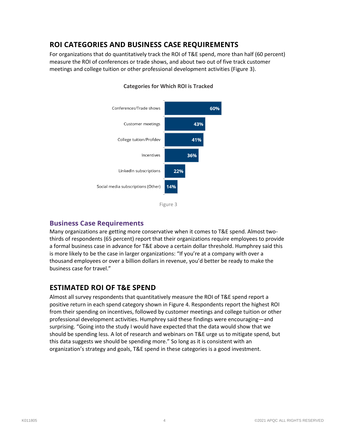### **ROI CATEGORIES AND BUSINESS CASE REQUIREMENTS**

For organizations that do quantitatively track the ROI of T&E spend, more than half (60 percent) measure the ROI of conferences or trade shows, and about two out of five track customer meetings and college tuition or other professional development activities (Figure 3).



#### **Categories for Which ROI is Tracked**



#### **Business Case Requirements**

Many organizations are getting more conservative when it comes to T&E spend. Almost twothirds of respondents (65 percent) report that their organizations require employees to provide a formal business case in advance for T&E above a certain dollar threshold. Humphrey said this is more likely to be the case in larger organizations: "If you're at a company with over a thousand employees or over a billion dollars in revenue, you'd better be ready to make the business case for travel."

### **ESTIMATED ROI OF T&E SPEND**

Almost all survey respondents that quantitatively measure the ROI of T&E spend report a positive return in each spend category shown in Figure 4. Respondents report the highest ROI from their spending on incentives, followed by customer meetings and college tuition or other professional development activities. Humphrey said these findings were encouraging—and surprising. "Going into the study I would have expected that the data would show that we should be spending less. A lot of research and webinars on T&E urge us to mitigate spend, but this data suggests we should be spending more." So long as it is consistent with an organization's strategy and goals, T&E spend in these categories is a good investment.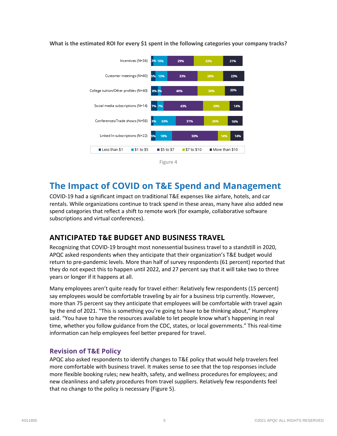

**What is the estimated ROI for every \$1 spent in the following categories your company tracks?**

## **The Impact of COVID on T&E Spend and Management**

COVID-19 had a significant impact on traditional T&E expenses like airfare, hotels, and car rentals. While organizations continue to track spend in these areas, many have also added new spend categories that reflect a shift to remote work (for example, collaborative software subscriptions and virtual conferences).

### **ANTICIPATED T&E BUDGET AND BUSINESS TRAVEL**

Recognizing that COVID-19 brought most nonessential business travel to a standstill in 2020, APQC asked respondents when they anticipate that their organization's T&E budget would return to pre-pandemic levels. More than half of survey respondents (61 percent) reported that they do not expect this to happen until 2022, and 27 percent say that it will take two to three years or longer if it happens at all.

Many employees aren't quite ready for travel either: Relatively few respondents (15 percent) say employees would be comfortable traveling by air for a business trip currently. However, more than 75 percent say they anticipate that employees will be comfortable with travel again by the end of 2021. "This is something you're going to have to be thinking about," Humphrey said. "You have to have the resources available to let people know what's happening in real time, whether you follow guidance from the CDC, states, or local governments." This real-time information can help employees feel better prepared for travel.

#### **Revision of T&E Policy**

APQC also asked respondents to identify changes to T&E policy that would help travelers feel more comfortable with business travel. It makes sense to see that the top responses include more flexible booking rules; new health, safety, and wellness procedures for employees; and new cleanliness and safety procedures from travel suppliers. Relatively few respondents feel that no change to the policy is necessary (Figure 5).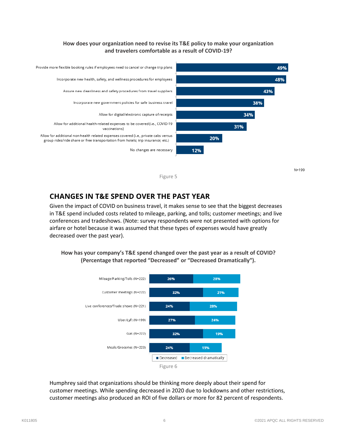#### **How does your organization need to revise its T&E policy to make your organization and travelers comfortable as a result of COVID-19?**



**CHANGES IN T&E SPEND OVER THE PAST YEAR** 

Given the impact of COVID on business travel, it makes sense to see that the biggest decreases in T&E spend included costs related to mileage, parking, and tolls; customer meetings; and live conferences and tradeshows. (Note: survey respondents were not presented with options for airfare or hotel because it was assumed that these types of expenses would have greatly decreased over the past year).

**How has your company's T&E spend changed over the past year as a result of COVID? (Percentage that reported "Decreased" or "Decreased Dramatically").**



Humphrey said that organizations should be thinking more deeply about their spend for customer meetings. While spending decreased in 2020 due to lockdowns and other restrictions, customer meetings also produced an ROI of five dollars or more for 82 percent of respondents.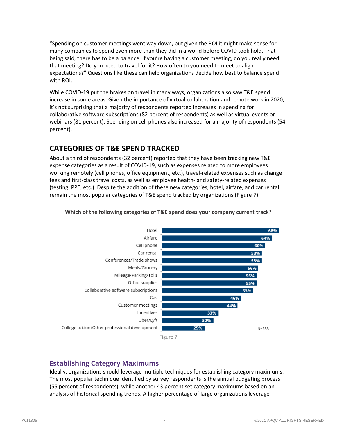"Spending on customer meetings went way down, but given the ROI it might make sense for many companies to spend even more than they did in a world before COVID took hold. That being said, there has to be a balance. If you're having a customer meeting, do you really need that meeting? Do you need to travel for it? How often to you need to meet to align expectations?" Questions like these can help organizations decide how best to balance spend with ROI.

While COVID-19 put the brakes on travel in many ways, organizations also saw T&E spend increase in some areas. Given the importance of virtual collaboration and remote work in 2020, it's not surprising that a majority of respondents reported increases in spending for collaborative software subscriptions (82 percent of respondents) as well as virtual events or webinars (81 percent). Spending on cell phones also increased for a majority of respondents (54 percent).

### **CATEGORIES OF T&E SPEND TRACKED**

About a third of respondents (32 percent) reported that they have been tracking new T&E expense categories as a result of COVID-19, such as expenses related to more employees working remotely (cell phones, office equipment, etc.), travel-related expenses such as change fees and first-class travel costs, as well as employee health- and safety-related expenses (testing, PPE, etc.). Despite the addition of these new categories, hotel, airfare, and car rental remain the most popular categories of T&E spend tracked by organizations (Figure 7).



**Which of the following categories of T&E spend does your company current track?**

#### **Establishing Category Maximums**

Ideally, organizations should leverage multiple techniques for establishing category maximums. The most popular technique identified by survey respondents is the annual budgeting process (55 percent of respondents), while another 43 percent set category maximums based on an analysis of historical spending trends. A higher percentage of large organizations leverage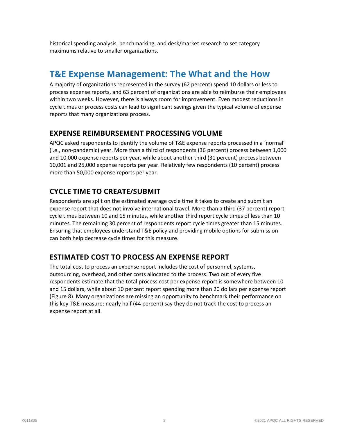historical spending analysis, benchmarking, and desk/market research to set category maximums relative to smaller organizations.

## **T&E Expense Management: The What and the How**

A majority of organizations represented in the survey (62 percent) spend 10 dollars or less to process expense reports, and 63 percent of organizations are able to reimburse their employees within two weeks. However, there is always room for improvement. Even modest reductions in cycle times or process costs can lead to significant savings given the typical volume of expense reports that many organizations process.

### **EXPENSE REIMBURSEMENT PROCESSING VOLUME**

APQC asked respondents to identify the volume of T&E expense reports processed in a 'normal' (i.e., non-pandemic) year. More than a third of respondents (36 percent) process between 1,000 and 10,000 expense reports per year, while about another third (31 percent) process between 10,001 and 25,000 expense reports per year. Relatively few respondents (10 percent) process more than 50,000 expense reports per year.

### **CYCLE TIME TO CREATE/SUBMIT**

Respondents are split on the estimated average cycle time it takes to create and submit an expense report that does not involve international travel. More than a third (37 percent) report cycle times between 10 and 15 minutes, while another third report cycle times of less than 10 minutes. The remaining 30 percent of respondents report cycle times greater than 15 minutes. Ensuring that employees understand T&E policy and providing mobile options for submission can both help decrease cycle times for this measure.

### **ESTIMATED COST TO PROCESS AN EXPENSE REPORT**

The total cost to process an expense report includes the cost of personnel, systems, outsourcing, overhead, and other costs allocated to the process. Two out of every five respondents estimate that the total process cost per expense report is somewhere between 10 and 15 dollars, while about 10 percent report spending more than 20 dollars per expense report (Figure 8). Many organizations are missing an opportunity to benchmark their performance on this key T&E measure: nearly half (44 percent) say they do not track the cost to process an expense report at all.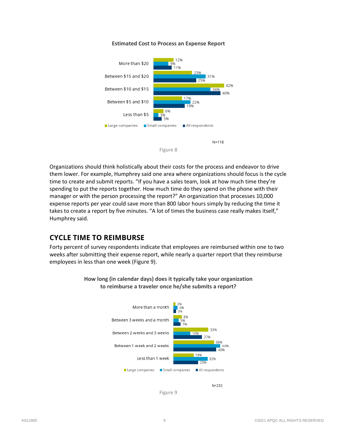#### **Estimated Cost to Process an Expense Report**





Organizations should think holistically about their costs for the process and endeavor to drive them lower. For example, Humphrey said one area where organizations should focus is the cycle time to create and submit reports. "If you have a sales team, look at how much time they're spending to put the reports together. How much time do they spend on the phone with their manager or with the person processing the report?" An organization that processes 10,000 expense reports per year could save more than 800 labor hours simply by reducing the time it takes to create a report by five minutes. "A lot of times the business case really makes itself," Humphrey said.

#### **CYCLE TIME TO REIMBURSE**

Forty percent of survey respondents indicate that employees are reimbursed within one to two weeks after submitting their expense report, while nearly a quarter report that they reimburse employees in less than one week (Figure 9).



**How long (in calendar days) does it typically take your organization to reimburse a traveler once he/she submits a report?**



Figure 9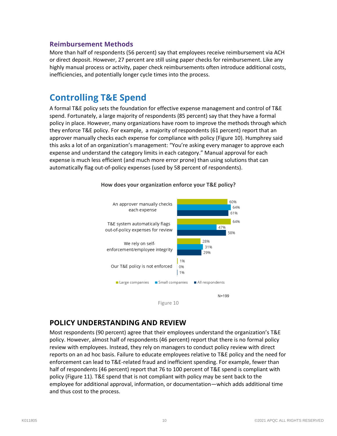#### **Reimbursement Methods**

More than half of respondents (56 percent) say that employees receive reimbursement via ACH or direct deposit. However, 27 percent are still using paper checks for reimbursement. Like any highly manual process or activity, paper check reimbursements often introduce additional costs, inefficiencies, and potentially longer cycle times into the process.

## **Controlling T&E Spend**

A formal T&E policy sets the foundation for effective expense management and control of T&E spend. Fortunately, a large majority of respondents (85 percent) say that they have a formal policy in place. However, many organizations have room to improve the methods through which they enforce T&E policy. For example, a majority of respondents (61 percent) report that an approver manually checks each expense for compliance with policy (Figure 10). Humphrey said this asks a lot of an organization's management: "You're asking every manager to approve each expense and understand the category limits in each category." Manual approval for each expense is much less efficient (and much more error prone) than using solutions that can automatically flag out-of-policy expenses (used by 58 percent of respondents).



#### **How does your organization enforce your T&E policy?**

#### **POLICY UNDERSTANDING AND REVIEW**

Most respondents (90 percent) agree that their employees understand the organization's T&E policy. However, almost half of respondents (46 percent) report that there is no formal policy review with employees. Instead, they rely on managers to conduct policy review with direct reports on an ad hoc basis. Failure to educate employees relative to T&E policy and the need for enforcement can lead to T&E-related fraud and inefficient spending. For example, fewer than half of respondents (46 percent) report that 76 to 100 percent of T&E spend is compliant with policy (Figure 11). T&E spend that is not compliant with policy may be sent back to the employee for additional approval, information, or documentation—which adds additional time and thus cost to the process.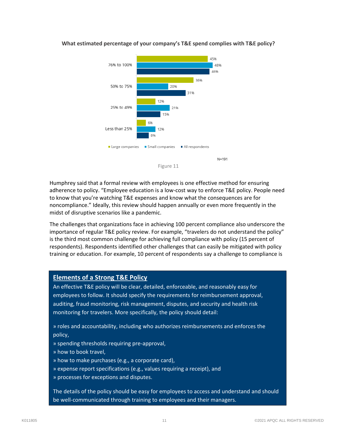

#### **What estimated percentage of your company's T&E spend complies with T&E policy?**

Humphrey said that a formal review with employees is one effective method for ensuring adherence to policy. "Employee education is a low-cost way to enforce T&E policy. People need to know that you're watching T&E expenses and know what the consequences are for noncompliance." Ideally, this review should happen annually or even more frequently in the midst of disruptive scenarios like a pandemic.

The challenges that organizations face in achieving 100 percent compliance also underscore the importance of regular T&E policy review. For example, "travelers do not understand the policy" is the third most common challenge for achieving full compliance with policy (15 percent of respondents). Respondents identified other challenges that can easily be mitigated with policy training or education. For example, 10 percent of respondents say a challenge to compliance is

#### **Elements of a Strong T&E Policy**

An effective T&E policy will be clear, detailed, enforceable, and reasonably easy for employees to follow. It should specify the requirements for reimbursement approval, auditing, fraud monitoring, risk management, disputes, and security and health risk monitoring for travelers. More specifically, the policy should detail:

» roles and accountability, including who authorizes reimbursements and enforces the policy,

- » spending thresholds requiring pre-approval,
- » how to book travel,
- » how to make purchases (e.g., a corporate card),
- » expense report specifications (e.g., values requiring a receipt), and
- » processes for exceptions and disputes.

The details of the policy should be easy for employees to access and understand and should be well-communicated through training to employees and their managers.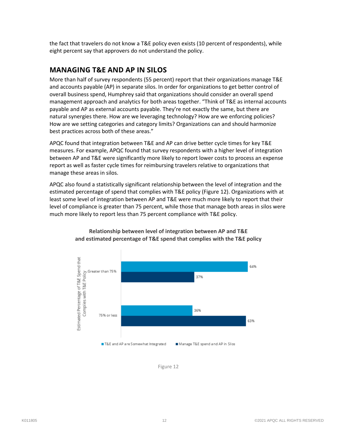the fact that travelers do not know a T&E policy even exists (10 percent of respondents), while eight percent say that approvers do not understand the policy.

### **MANAGING T&E AND AP IN SILOS**

More than half of survey respondents (55 percent) report that their organizations manage T&E and accounts payable (AP) in separate silos. In order for organizations to get better control of overall business spend, Humphrey said that organizations should consider an overall spend management approach and analytics for both areas together. "Think of T&E as internal accounts payable and AP as external accounts payable. They're not exactly the same, but there are natural synergies there. How are we leveraging technology? How are we enforcing policies? How are we setting categories and category limits? Organizations can and should harmonize best practices across both of these areas."

APQC found that integration between T&E and AP can drive better cycle times for key T&E measures. For example, APQC found that survey respondents with a higher level of integration between AP and T&E were significantly more likely to report lower costs to process an expense report as well as faster cycle times for reimbursing travelers relative to organizations that manage these areas in silos.

APQC also found a statistically significant relationship between the level of integration and the estimated percentage of spend that complies with T&E policy (Figure 12). Organizations with at least some level of integration between AP and T&E were much more likely to report that their level of compliance is greater than 75 percent, while those that manage both areas in silos were much more likely to report less than 75 percent compliance with T&E policy.



#### **Relationship between level of integration between AP and T&E and estimated percentage of T&E spend that complies with the T&E policy**

Figure 12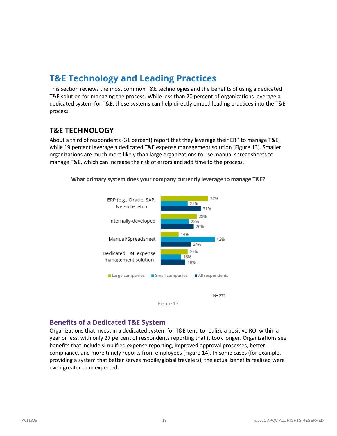## **T&E Technology and Leading Practices**

This section reviews the most common T&E technologies and the benefits of using a dedicated T&E solution for managing the process. While less than 20 percent of organizations leverage a dedicated system for T&E, these systems can help directly embed leading practices into the T&E process.

### **T&E TECHNOLOGY**

About a third of respondents (31 percent) report that they leverage their ERP to manage T&E, while 19 percent leverage a dedicated T&E expense management solution (Figure 13). Smaller organizations are much more likely than large organizations to use manual spreadsheets to manage T&E, which can increase the risk of errors and add time to the process.



**What primary system does your company currently leverage to manage T&E?**

Figure 13

#### **Benefits of a Dedicated T&E System**

Organizations that invest in a dedicated system for T&E tend to realize a positive ROI within a year or less, with only 27 percent of respondents reporting that it took longer. Organizations see benefits that include simplified expense reporting, improved approval processes, better compliance, and more timely reports from employees (Figure 14). In some cases (for example, providing a system that better serves mobile/global travelers), the actual benefits realized were even greater than expected.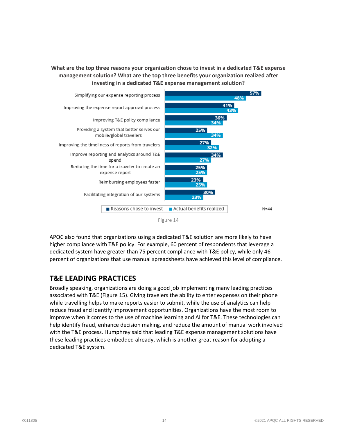**What are the top three reasons your organization chose to invest in a dedicated T&E expense management solution? What are the top three benefits your organization realized after investing in a dedicated T&E expense management solution?**



APQC also found that organizations using a dedicated T&E solution are more likely to have higher compliance with T&E policy. For example, 60 percent of respondents that leverage a dedicated system have greater than 75 percent compliance with T&E policy, while only 46 percent of organizations that use manual spreadsheets have achieved this level of compliance.

### **T&E LEADING PRACTICES**

Broadly speaking, organizations are doing a good job implementing many leading practices associated with T&E (Figure 15). Giving travelers the ability to enter expenses on their phone while travelling helps to make reports easier to submit, while the use of analytics can help reduce fraud and identify improvement opportunities. Organizations have the most room to improve when it comes to the use of machine learning and AI for T&E. These technologies can help identify fraud, enhance decision making, and reduce the amount of manual work involved with the T&E process. Humphrey said that leading T&E expense management solutions have these leading practices embedded already, which is another great reason for adopting a dedicated T&E system.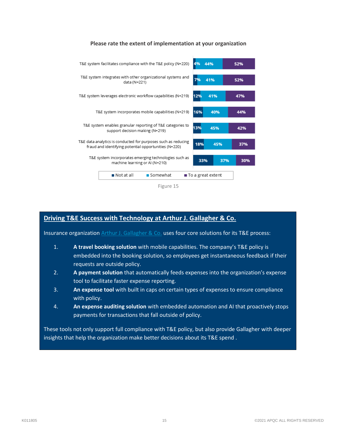





#### **Driving T&E Success with Technology at Arthur J. Gallagher & Co.**

Insurance organization [Arthur J. Gallagher & Co.](https://www.apqc.org/resource-library/resource-listing/automating-and-improving-te-arthur-j-gallagher-co) uses four core solutions for its T&E process:

- 1. **A travel booking solution** with mobile capabilities. The company's T&E policy is embedded into the booking solution, so employees get instantaneous feedback if their requests are outside policy.
- 2. **A payment solution** that automatically feeds expenses into the organization's expense tool to facilitate faster expense reporting.
- 3. **An expense tool** with built in caps on certain types of expenses to ensure compliance with policy.
- 4. **An expense auditing solution** with embedded automation and AI that proactively stops payments for transactions that fall outside of policy.

These tools not only support full compliance with T&E policy, but also provide Gallagher with deeper insights that help the organization make better decisions about its T&E spend .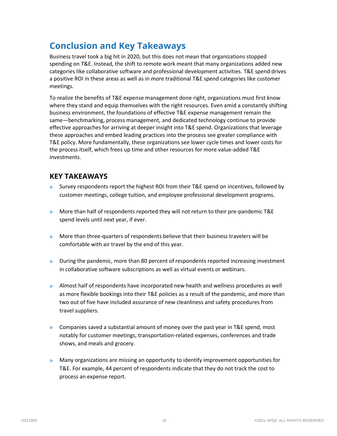## **Conclusion and Key Takeaways**

Business travel took a big hit in 2020, but this does not mean that organizations stopped spending on T&E. Instead, the shift to remote work meant that many organizations added new categories like collaborative software and professional development activities. T&E spend drives a positive ROI in these areas as well as in more traditional T&E spend categories like customer meetings.

To realize the benefits of T&E expense management done right, organizations must first know where they stand and equip themselves with the right resources. Even amid a constantly shifting business environment, the foundations of effective T&E expense management remain the same—benchmarking, process management, and dedicated technology continue to provide effective approaches for arriving at deeper insight into T&E spend. Organizations that leverage these approaches and embed leading practices into the process see greater compliance with T&E policy. More fundamentally, these organizations see lower cycle times and lower costs for the process itself, which frees up time and other resources for more value-added T&E investments.

### **KEY TAKEAWAYS**

- $\gg$  Survey respondents report the highest ROI from their T&E spend on incentives, followed by customer meetings, college tuition, and employee professional development programs.
- » More than half of respondents reported they will not return to their pre-pandemic T&E spend levels until next year, if ever.
- $\gg$  More than three-quarters of respondents believe that their business travelers will be comfortable with air travel by the end of this year.
- » During the pandemic, more than 80 percent of respondents reported increasing investment in collaborative software subscriptions as well as virtual events or webinars.
- » Almost half of respondents have incorporated new health and wellness procedures as well as more flexible bookings into their T&E policies as a result of the pandemic, and more than two out of five have included assurance of new cleanliness and safety procedures from travel suppliers.
- $\gg$  Companies saved a substantial amount of money over the past year in T&E spend, most notably for customer meetings, transportation-related expenses, conferences and trade shows, and meals and grocery.
- » Many organizations are missing an opportunity to identify improvement opportunities for T&E. For example, 44 percent of respondents indicate that they do not track the cost to process an expense report.